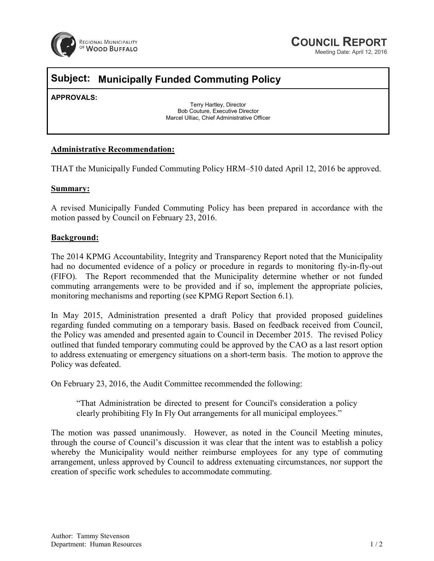

# **COUNCIL REPORT**

Meeting Date: April 12, 2016

## **Subject: Municipally Funded Commuting Policy**

**APPROVALS:** 

Terry Hartley, Director Bob Couture, Executive Director Marcel Ulliac, Chief Administrative Officer

#### **Administrative Recommendation:**

THAT the Municipally Funded Commuting Policy HRM–510 dated April 12, 2016 be approved.

#### **Summary:**

A revised Municipally Funded Commuting Policy has been prepared in accordance with the motion passed by Council on February 23, 2016.

#### **Background:**

The 2014 KPMG Accountability, Integrity and Transparency Report noted that the Municipality had no documented evidence of a policy or procedure in regards to monitoring fly-in-fly-out (FIFO). The Report recommended that the Municipality determine whether or not funded commuting arrangements were to be provided and if so, implement the appropriate policies, monitoring mechanisms and reporting (see KPMG Report Section 6.1).

In May 2015, Administration presented a draft Policy that provided proposed guidelines regarding funded commuting on a temporary basis. Based on feedback received from Council, the Policy was amended and presented again to Council in December 2015. The revised Policy outlined that funded temporary commuting could be approved by the CAO as a last resort option to address extenuating or emergency situations on a short-term basis. The motion to approve the Policy was defeated.

On February 23, 2016, the Audit Committee recommended the following:

"That Administration be directed to present for Council's consideration a policy clearly prohibiting Fly In Fly Out arrangements for all municipal employees."

The motion was passed unanimously. However, as noted in the Council Meeting minutes, through the course of Council's discussion it was clear that the intent was to establish a policy whereby the Municipality would neither reimburse employees for any type of commuting arrangement, unless approved by Council to address extenuating circumstances, nor support the creation of specific work schedules to accommodate commuting.